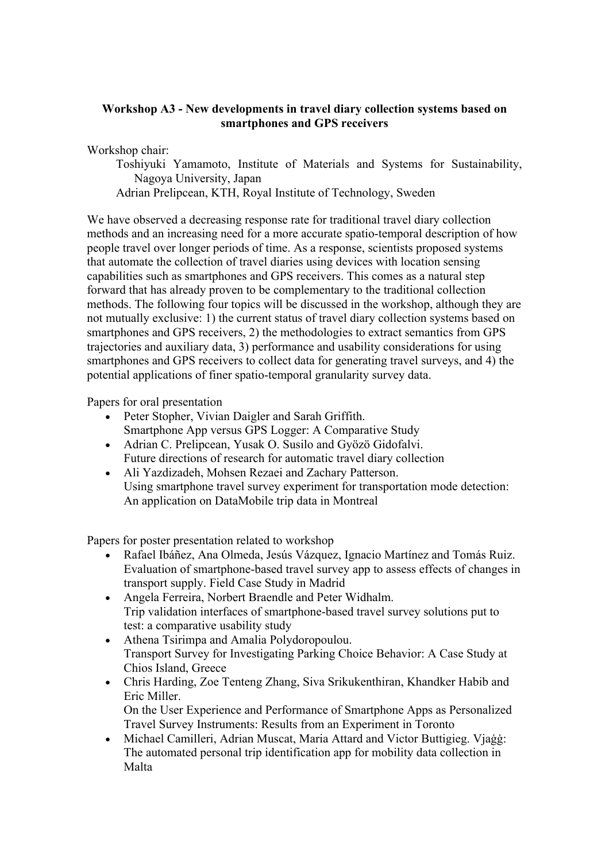## **Workshop A3 - New developments in travel diary collection systems based on smartphones and GPS receivers**

Workshop chair:

Toshiyuki Yamamoto, Institute of Materials and Systems for Sustainability, Nagoya University, Japan

Adrian Prelipcean, KTH, Royal Institute of Technology, Sweden

We have observed a decreasing response rate for traditional travel diary collection methods and an increasing need for a more accurate spatio-temporal description of how people travel over longer periods of time. As a response, scientists proposed systems that automate the collection of travel diaries using devices with location sensing capabilities such as smartphones and GPS receivers. This comes as a natural step forward that has already proven to be complementary to the traditional collection methods. The following four topics will be discussed in the workshop, although they are not mutually exclusive: 1) the current status of travel diary collection systems based on smartphones and GPS receivers, 2) the methodologies to extract semantics from GPS trajectories and auxiliary data, 3) performance and usability considerations for using smartphones and GPS receivers to collect data for generating travel surveys, and 4) the potential applications of finer spatio-temporal granularity survey data.

Papers for oral presentation

- Peter Stopher, Vivian Daigler and Sarah Griffith. Smartphone App versus GPS Logger: A Comparative Study
- Adrian C. Prelipcean, Yusak O. Susilo and Gyözö Gidofalvi. Future directions of research for automatic travel diary collection
- Ali Yazdizadeh, Mohsen Rezaei and Zachary Patterson. Using smartphone travel survey experiment for transportation mode detection: An application on DataMobile trip data in Montreal

Papers for poster presentation related to workshop

- Rafael Ibáñez, Ana Olmeda, Jesús Vázquez, Ignacio Martínez and Tomás Ruiz. Evaluation of smartphone-based travel survey app to assess effects of changes in transport supply. Field Case Study in Madrid
- Angela Ferreira, Norbert Braendle and Peter Widhalm. Trip validation interfaces of smartphone-based travel survey solutions put to test: a comparative usability study
- Athena Tsirimpa and Amalia Polydoropoulou. Transport Survey for Investigating Parking Choice Behavior: A Case Study at Chios Island, Greece
- Chris Harding, Zoe Tenteng Zhang, Siva Srikukenthiran, Khandker Habib and Eric Miller. On the User Experience and Performance of Smartphone Apps as Personalized
- Travel Survey Instruments: Results from an Experiment in Toronto • Michael Camilleri, Adrian Muscat, Maria Attard and Victor Buttigieg. Vjaġġ: The automated personal trip identification app for mobility data collection in Malta